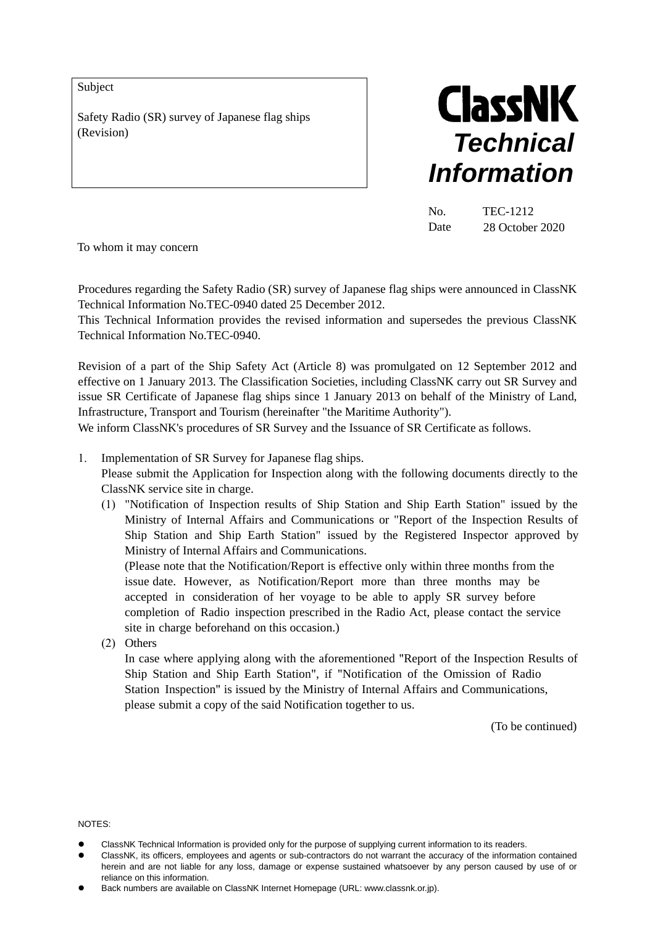Subject

Safety Radio (SR) survey of Japanese flag ships (Revision)



No. TEC-1212 Date 28 October 2020

To whom it may concern

Procedures regarding the Safety Radio (SR) survey of Japanese flag ships were announced in ClassNK Technical Information No.TEC-0940 dated 25 December 2012.

This Technical Information provides the revised information and supersedes the previous ClassNK Technical Information No.TEC-0940.

Revision of a part of the Ship Safety Act (Article 8) was promulgated on 12 September 2012 and effective on 1 January 2013. The Classification Societies, including ClassNK carry out SR Survey and issue SR Certificate of Japanese flag ships since 1 January 2013 on behalf of the Ministry of Land, Infrastructure, Transport and Tourism (hereinafter "the Maritime Authority").

We inform ClassNK's procedures of SR Survey and the Issuance of SR Certificate as follows.

1. Implementation of SR Survey for Japanese flag ships.

Please submit the Application for Inspection along with the following documents directly to the ClassNK service site in charge.

(1) "Notification of Inspection results of Ship Station and Ship Earth Station" issued by the Ministry of Internal Affairs and Communications or "Report of the Inspection Results of Ship Station and Ship Earth Station" issued by the Registered Inspector approved by Ministry of Internal Affairs and Communications.

(Please note that the Notification/Report is effective only within three months from the issue date. However, as Notification/Report more than three months may be accepted in consideration of her voyage to be able to apply SR survey before completion of Radio inspection prescribed in the Radio Act, please contact the service site in charge beforehand on this occasion.)

(2) Others

In case where applying along with the aforementioned "Report of the Inspection Results of Ship Station and Ship Earth Station", if "Notification of the Omission of Radio Station Inspection" is issued by the Ministry of Internal Affairs and Communications, please submit a copy of the said Notification together to us.

(To be continued)

NOTES:

- ClassNK Technical Information is provided only for the purpose of supplying current information to its readers.
- ClassNK, its officers, employees and agents or sub-contractors do not warrant the accuracy of the information contained herein and are not liable for any loss, damage or expense sustained whatsoever by any person caused by use of or reliance on this information.
- Back numbers are available on ClassNK Internet Homepage (URL: www.classnk.or.jp).